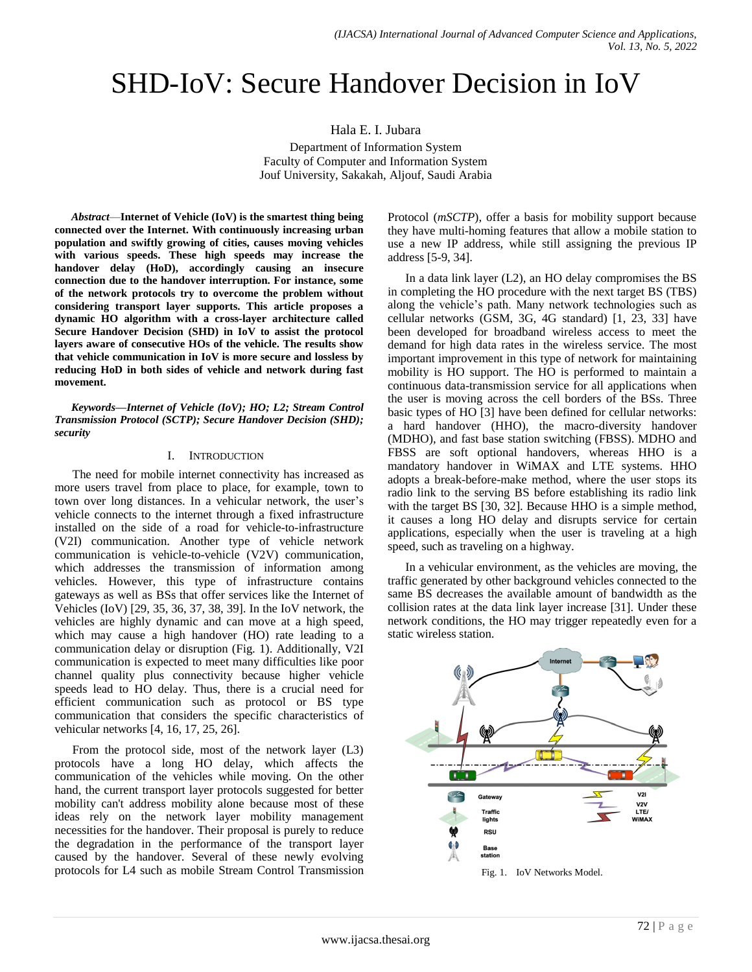# SHD-IoV: Secure Handover Decision in IoV

Hala E. I. Jubara

Department of Information System Faculty of Computer and Information System Jouf University, Sakakah, Aljouf, Saudi Arabia

*Abstract*—**Internet of Vehicle (IoV) is the smartest thing being connected over the Internet. With continuously increasing urban population and swiftly growing of cities, causes moving vehicles with various speeds. These high speeds may increase the handover delay (HoD), accordingly causing an insecure connection due to the handover interruption. For instance, some of the network protocols try to overcome the problem without considering transport layer supports. This article proposes a dynamic HO algorithm with a cross-layer architecture called Secure Handover Decision (SHD) in IoV to assist the protocol layers aware of consecutive HOs of the vehicle. The results show that vehicle communication in IoV is more secure and lossless by reducing HoD in both sides of vehicle and network during fast movement.**

*Keywords—Internet of Vehicle (IoV); HO; L2; Stream Control Transmission Protocol (SCTP); Secure Handover Decision (SHD); security*

#### I. INTRODUCTION

The need for mobile internet connectivity has increased as more users travel from place to place, for example, town to town over long distances. In a vehicular network, the user's vehicle connects to the internet through a fixed infrastructure installed on the side of a road for vehicle-to-infrastructure (V2I) communication. Another type of vehicle network communication is vehicle-to-vehicle (V2V) communication, which addresses the transmission of information among vehicles. However, this type of infrastructure contains gateways as well as BSs that offer services like the Internet of Vehicles (IoV) [29, 35, 36, 37, 38, 39]. In the IoV network, the vehicles are highly dynamic and can move at a high speed, which may cause a high handover (HO) rate leading to a communication delay or disruption (Fig. 1). Additionally, V2I communication is expected to meet many difficulties like poor channel quality plus connectivity because higher vehicle speeds lead to HO delay. Thus, there is a crucial need for efficient communication such as protocol or BS type communication that considers the specific characteristics of vehicular networks [4, 16, 17, 25, 26].

From the protocol side, most of the network layer (L3) protocols have a long HO delay, which affects the communication of the vehicles while moving. On the other hand, the current transport layer protocols suggested for better mobility can't address mobility alone because most of these ideas rely on the network layer mobility management necessities for the handover. Their proposal is purely to reduce the degradation in the performance of the transport layer caused by the handover. Several of these newly evolving protocols for L4 such as mobile Stream Control Transmission Protocol (*mSCTP*), offer a basis for mobility support because they have multi-homing features that allow a mobile station to use a new IP address, while still assigning the previous IP address [5-9, 34].

In a data link layer (L2), an HO delay compromises the BS in completing the HO procedure with the next target BS (TBS) along the vehicle's path. Many network technologies such as cellular networks (GSM, 3G, 4G standard) [1, 23, 33] have been developed for broadband wireless access to meet the demand for high data rates in the wireless service. The most important improvement in this type of network for maintaining mobility is HO support. The HO is performed to maintain a continuous data-transmission service for all applications when the user is moving across the cell borders of the BSs. Three basic types of HO [3] have been defined for cellular networks: a hard handover (HHO), the macro-diversity handover (MDHO), and fast base station switching (FBSS). MDHO and FBSS are soft optional handovers, whereas HHO is a mandatory handover in WiMAX and LTE systems. HHO adopts a break-before-make method, where the user stops its radio link to the serving BS before establishing its radio link with the target BS [30, 32]. Because HHO is a simple method, it causes a long HO delay and disrupts service for certain applications, especially when the user is traveling at a high speed, such as traveling on a highway.

In a vehicular environment, as the vehicles are moving, the traffic generated by other background vehicles connected to the same BS decreases the available amount of bandwidth as the collision rates at the data link layer increase [31]. Under these network conditions, the HO may trigger repeatedly even for a static wireless station.



Fig. 1. IoV Networks Model.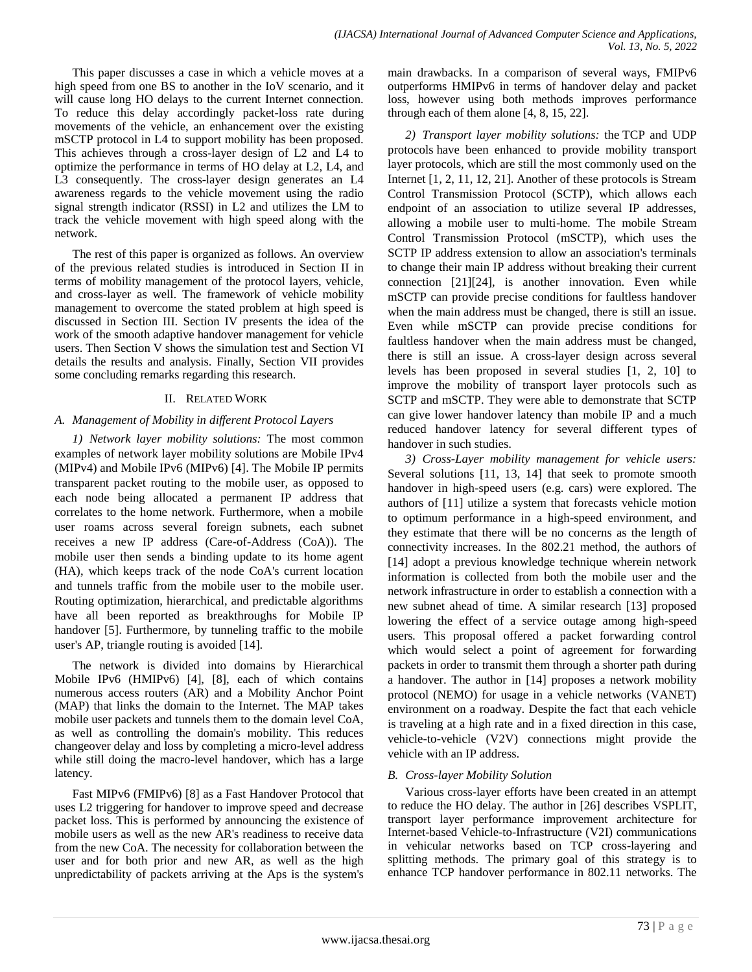This paper discusses a case in which a vehicle moves at a high speed from one BS to another in the IoV scenario, and it will cause long HO delays to the current Internet connection. To reduce this delay accordingly packet-loss rate during movements of the vehicle, an enhancement over the existing mSCTP protocol in L4 to support mobility has been proposed. This achieves through a cross-layer design of L2 and L4 to optimize the performance in terms of HO delay at L2, L4, and L3 consequently. The cross-layer design generates an L4 awareness regards to the vehicle movement using the radio signal strength indicator (RSSI) in L2 and utilizes the LM to track the vehicle movement with high speed along with the network.

The rest of this paper is organized as follows. An overview of the previous related studies is introduced in Section II in terms of mobility management of the protocol layers, vehicle, and cross-layer as well. The framework of vehicle mobility management to overcome the stated problem at high speed is discussed in Section III. Section IV presents the idea of the work of the smooth adaptive handover management for vehicle users. Then Section V shows the simulation test and Section VI details the results and analysis. Finally, Section VII provides some concluding remarks regarding this research.

## II. RELATED WORK

## *A. Management of Mobility in different Protocol Layers*

*1) Network layer mobility solutions:* The most common examples of network layer mobility solutions are Mobile IPv4 (MIPv4) and Mobile IPv6 (MIPv6) [4]. The Mobile IP permits transparent packet routing to the mobile user, as opposed to each node being allocated a permanent IP address that correlates to the home network. Furthermore, when a mobile user roams across several foreign subnets, each subnet receives a new IP address (Care-of-Address (CoA)). The mobile user then sends a binding update to its home agent (HA), which keeps track of the node CoA's current location and tunnels traffic from the mobile user to the mobile user. Routing optimization, hierarchical, and predictable algorithms have all been reported as breakthroughs for Mobile IP handover [5]. Furthermore, by tunneling traffic to the mobile user's AP, triangle routing is avoided [14].

The network is divided into domains by Hierarchical Mobile IPv6 (HMIPv6) [4], [8], each of which contains numerous access routers (AR) and a Mobility Anchor Point (MAP) that links the domain to the Internet. The MAP takes mobile user packets and tunnels them to the domain level CoA, as well as controlling the domain's mobility. This reduces changeover delay and loss by completing a micro-level address while still doing the macro-level handover, which has a large latency.

Fast MIPv6 (FMIPv6) [8] as a Fast Handover Protocol that uses L2 triggering for handover to improve speed and decrease packet loss. This is performed by announcing the existence of mobile users as well as the new AR's readiness to receive data from the new CoA. The necessity for collaboration between the user and for both prior and new AR, as well as the high unpredictability of packets arriving at the Aps is the system's main drawbacks. In a comparison of several ways, FMIPv6 outperforms HMIPv6 in terms of handover delay and packet loss, however using both methods improves performance through each of them alone [4, 8, 15, 22].

*2) Transport layer mobility solutions:* the TCP and UDP protocols have been enhanced to provide mobility transport layer protocols, which are still the most commonly used on the Internet [1, 2, 11, 12, 21]. Another of these protocols is Stream Control Transmission Protocol (SCTP), which allows each endpoint of an association to utilize several IP addresses, allowing a mobile user to multi-home. The mobile Stream Control Transmission Protocol (mSCTP), which uses the SCTP IP address extension to allow an association's terminals to change their main IP address without breaking their current connection [21][24], is another innovation. Even while mSCTP can provide precise conditions for faultless handover when the main address must be changed, there is still an issue. Even while mSCTP can provide precise conditions for faultless handover when the main address must be changed, there is still an issue. A cross-layer design across several levels has been proposed in several studies [1, 2, 10] to improve the mobility of transport layer protocols such as SCTP and mSCTP. They were able to demonstrate that SCTP can give lower handover latency than mobile IP and a much reduced handover latency for several different types of handover in such studies.

*3) Cross-Layer mobility management for vehicle users:* Several solutions [11, 13, 14] that seek to promote smooth handover in high-speed users (e.g. cars) were explored. The authors of [11] utilize a system that forecasts vehicle motion to optimum performance in a high-speed environment, and they estimate that there will be no concerns as the length of connectivity increases. In the 802.21 method, the authors of [14] adopt a previous knowledge technique wherein network information is collected from both the mobile user and the network infrastructure in order to establish a connection with a new subnet ahead of time. A similar research [13] proposed lowering the effect of a service outage among high-speed users*.* This proposal offered a packet forwarding control which would select a point of agreement for forwarding packets in order to transmit them through a shorter path during a handover. The author in [14] proposes a network mobility protocol (NEMO) for usage in a vehicle networks (VANET) environment on a roadway. Despite the fact that each vehicle is traveling at a high rate and in a fixed direction in this case, vehicle-to-vehicle (V2V) connections might provide the vehicle with an IP address.

## *B. Cross-layer Mobility Solution*

Various cross-layer efforts have been created in an attempt to reduce the HO delay. The author in [26] describes VSPLIT, transport layer performance improvement architecture for Internet-based Vehicle-to-Infrastructure (V2I) communications in vehicular networks based on TCP cross-layering and splitting methods. The primary goal of this strategy is to enhance TCP handover performance in 802.11 networks. The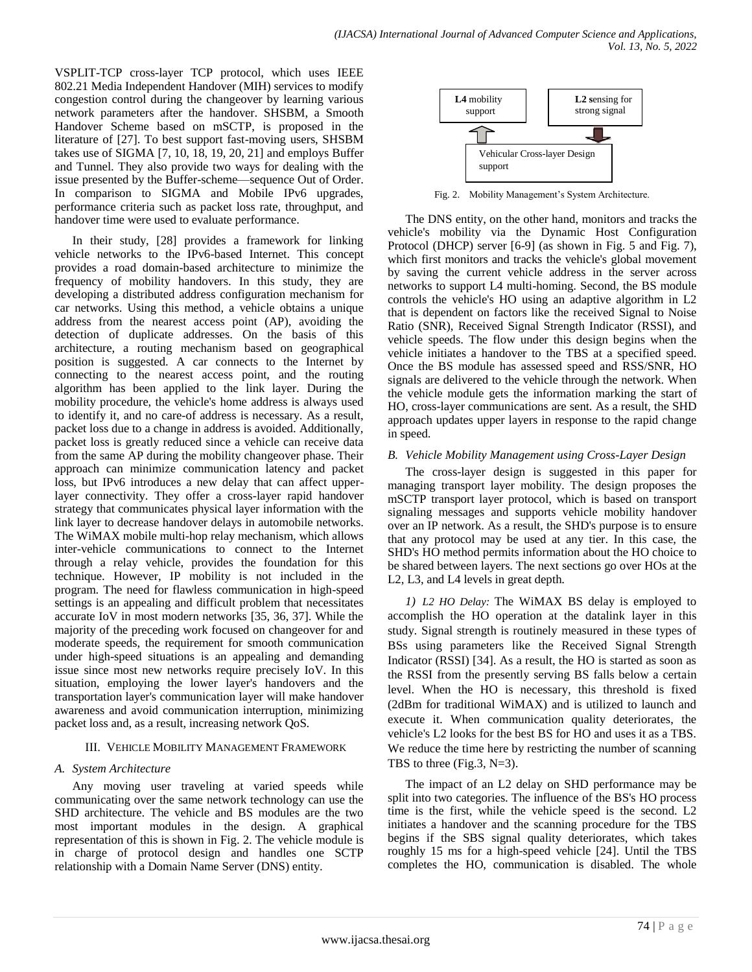VSPLIT-TCP cross-layer TCP protocol, which uses IEEE 802.21 Media Independent Handover (MIH) services to modify congestion control during the changeover by learning various network parameters after the handover. SHSBM, a Smooth Handover Scheme based on mSCTP, is proposed in the literature of [27]. To best support fast-moving users, SHSBM takes use of SIGMA [7, 10, 18, 19, 20, 21] and employs Buffer and Tunnel. They also provide two ways for dealing with the issue presented by the Buffer-scheme—sequence Out of Order. In comparison to SIGMA and Mobile IPv6 upgrades, performance criteria such as packet loss rate, throughput, and handover time were used to evaluate performance.

In their study, [28] provides a framework for linking vehicle networks to the IPv6-based Internet. This concept provides a road domain-based architecture to minimize the frequency of mobility handovers. In this study, they are developing a distributed address configuration mechanism for car networks. Using this method, a vehicle obtains a unique address from the nearest access point (AP), avoiding the detection of duplicate addresses. On the basis of this architecture, a routing mechanism based on geographical position is suggested. A car connects to the Internet by connecting to the nearest access point, and the routing algorithm has been applied to the link layer. During the mobility procedure, the vehicle's home address is always used to identify it, and no care-of address is necessary. As a result, packet loss due to a change in address is avoided. Additionally, packet loss is greatly reduced since a vehicle can receive data from the same AP during the mobility changeover phase. Their approach can minimize communication latency and packet loss, but IPv6 introduces a new delay that can affect upperlayer connectivity. They offer a cross-layer rapid handover strategy that communicates physical layer information with the link layer to decrease handover delays in automobile networks. The WiMAX mobile multi-hop relay mechanism, which allows inter-vehicle communications to connect to the Internet through a relay vehicle, provides the foundation for this technique. However, IP mobility is not included in the program. The need for flawless communication in high-speed settings is an appealing and difficult problem that necessitates accurate IoV in most modern networks [35, 36, 37]. While the majority of the preceding work focused on changeover for and moderate speeds, the requirement for smooth communication under high-speed situations is an appealing and demanding issue since most new networks require precisely IoV. In this situation, employing the lower layer's handovers and the transportation layer's communication layer will make handover awareness and avoid communication interruption, minimizing packet loss and, as a result, increasing network QoS.

### III. VEHICLE MOBILITY MANAGEMENT FRAMEWORK

### *A. System Architecture*

Any moving user traveling at varied speeds while communicating over the same network technology can use the SHD architecture. The vehicle and BS modules are the two most important modules in the design. A graphical representation of this is shown in Fig. 2. The vehicle module is in charge of protocol design and handles one SCTP relationship with a Domain Name Server (DNS) entity.



Fig. 2. Mobility Management's System Architecture.

The DNS entity, on the other hand, monitors and tracks the vehicle's mobility via the Dynamic Host Configuration Protocol (DHCP) server [6-9] (as shown in Fig. 5 and Fig. 7), which first monitors and tracks the vehicle's global movement by saving the current vehicle address in the server across networks to support L4 multi-homing. Second, the BS module controls the vehicle's HO using an adaptive algorithm in L2 that is dependent on factors like the received Signal to Noise Ratio (SNR), Received Signal Strength Indicator (RSSI), and vehicle speeds. The flow under this design begins when the vehicle initiates a handover to the TBS at a specified speed. Once the BS module has assessed speed and RSS/SNR, HO signals are delivered to the vehicle through the network. When the vehicle module gets the information marking the start of HO, cross-layer communications are sent. As a result, the SHD approach updates upper layers in response to the rapid change in speed.

#### *B. Vehicle Mobility Management using Cross-Layer Design*

The cross-layer design is suggested in this paper for managing transport layer mobility. The design proposes the mSCTP transport layer protocol, which is based on transport signaling messages and supports vehicle mobility handover over an IP network. As a result, the SHD's purpose is to ensure that any protocol may be used at any tier. In this case, the SHD's HO method permits information about the HO choice to be shared between layers. The next sections go over HOs at the L2, L3, and L4 levels in great depth.

*1) L2 HO Delay:* The WiMAX BS delay is employed to accomplish the HO operation at the datalink layer in this study. Signal strength is routinely measured in these types of BSs using parameters like the Received Signal Strength Indicator (RSSI) [34]. As a result, the HO is started as soon as the RSSI from the presently serving BS falls below a certain level. When the HO is necessary, this threshold is fixed (2dBm for traditional WiMAX) and is utilized to launch and execute it. When communication quality deteriorates, the vehicle's L2 looks for the best BS for HO and uses it as a TBS. We reduce the time here by restricting the number of scanning TBS to three (Fig.3,  $N=3$ ).

The impact of an L2 delay on SHD performance may be split into two categories. The influence of the BS's HO process time is the first, while the vehicle speed is the second. L2 initiates a handover and the scanning procedure for the TBS begins if the SBS signal quality deteriorates, which takes roughly 15 ms for a high-speed vehicle [24]. Until the TBS completes the HO, communication is disabled. The whole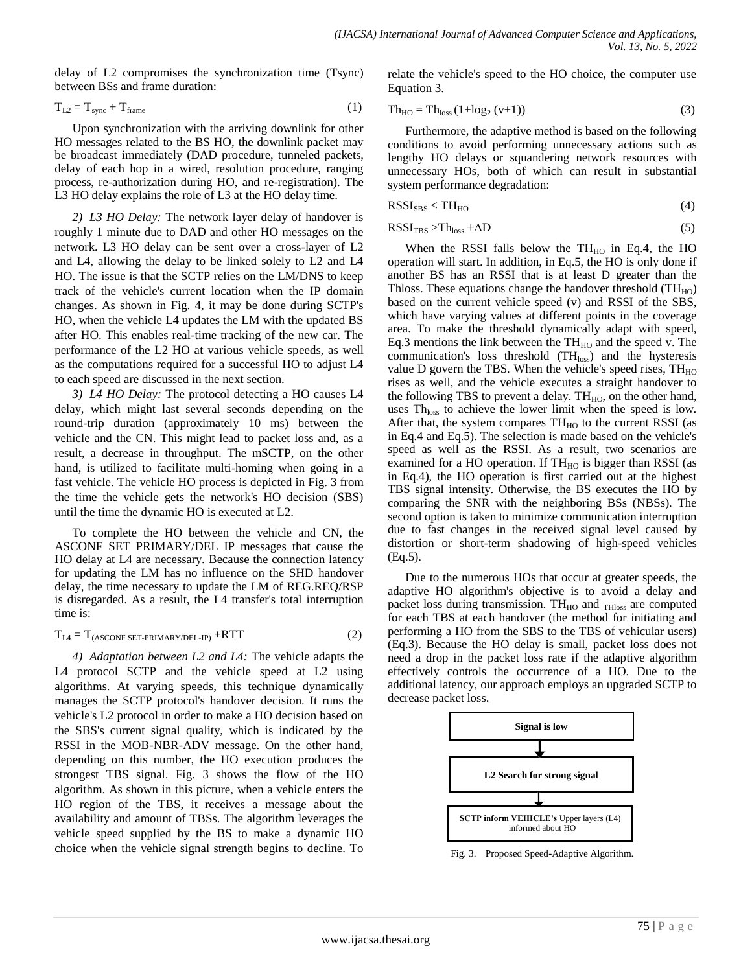delay of L2 compromises the synchronization time (Tsync) between BSs and frame duration:

$$
T_{L2} = T_{sync} + T_{frame}
$$
 (1)

Upon synchronization with the arriving downlink for other HO messages related to the BS HO, the downlink packet may be broadcast immediately (DAD procedure, tunneled packets, delay of each hop in a wired, resolution procedure, ranging process, re-authorization during HO, and re-registration). The L3 HO delay explains the role of L3 at the HO delay time.

*2) L3 HO Delay:* The network layer delay of handover is roughly 1 minute due to DAD and other HO messages on the network. L3 HO delay can be sent over a cross-layer of L2 and L4, allowing the delay to be linked solely to L2 and L4 HO. The issue is that the SCTP relies on the LM/DNS to keep track of the vehicle's current location when the IP domain changes. As shown in Fig. 4, it may be done during SCTP's HO, when the vehicle L4 updates the LM with the updated BS after HO. This enables real-time tracking of the new car. The performance of the L2 HO at various vehicle speeds, as well as the computations required for a successful HO to adjust L4 to each speed are discussed in the next section.

*3) L4 HO Delay:* The protocol detecting a HO causes L4 delay, which might last several seconds depending on the round-trip duration (approximately 10 ms) between the vehicle and the CN. This might lead to packet loss and, as a result, a decrease in throughput. The mSCTP, on the other hand, is utilized to facilitate multi-homing when going in a fast vehicle. The vehicle HO process is depicted in Fig. 3 from the time the vehicle gets the network's HO decision (SBS) until the time the dynamic HO is executed at L2.

To complete the HO between the vehicle and CN, the ASCONF SET PRIMARY/DEL IP messages that cause the HO delay at L4 are necessary. Because the connection latency for updating the LM has no influence on the SHD handover delay, the time necessary to update the LM of REG.REQ/RSP is disregarded. As a result, the L4 transfer's total interruption time is:

$$
T_{L4} = T_{(ASCONF SET-PRIMARY/DEL-IP)} + RTT
$$
 (2)

*4) Adaptation between L2 and L4:* The vehicle adapts the L4 protocol SCTP and the vehicle speed at L2 using algorithms. At varying speeds, this technique dynamically manages the SCTP protocol's handover decision. It runs the vehicle's L2 protocol in order to make a HO decision based on the SBS's current signal quality, which is indicated by the RSSI in the MOB-NBR-ADV message. On the other hand, depending on this number, the HO execution produces the strongest TBS signal. Fig. 3 shows the flow of the HO algorithm. As shown in this picture, when a vehicle enters the HO region of the TBS, it receives a message about the availability and amount of TBSs. The algorithm leverages the vehicle speed supplied by the BS to make a dynamic HO choice when the vehicle signal strength begins to decline. To relate the vehicle's speed to the HO choice, the computer use Equation 3.

$$
Th_{HO} = Th_{loss} (1 + log_2 (v+1))
$$
\n
$$
(3)
$$

Furthermore, the adaptive method is based on the following conditions to avoid performing unnecessary actions such as lengthy HO delays or squandering network resources with unnecessary HOs, both of which can result in substantial system performance degradation:

$$
RSSI_{SBS} < TH_{HO}
$$
 (4)

$$
RSSI_{TBS} > Thloss + \Delta D
$$
 (5)

When the RSSI falls below the  $TH_{HO}$  in Eq.4, the HO operation will start. In addition, in Eq.5, the HO is only done if another BS has an RSSI that is at least D greater than the Thloss. These equations change the handover threshold  $(TH_{HO})$ based on the current vehicle speed (v) and RSSI of the SBS, which have varying values at different points in the coverage area. To make the threshold dynamically adapt with speed, Eq.3 mentions the link between the  $TH_{HO}$  and the speed v. The communication's loss threshold (TH<sub>loss</sub>) and the hysteresis value D govern the TBS. When the vehicle's speed rises,  $TH_{HO}$ rises as well, and the vehicle executes a straight handover to the following TBS to prevent a delay.  $TH_{HO}$ , on the other hand, uses  $Th<sub>loss</sub>$  to achieve the lower limit when the speed is low. After that, the system compares  $TH_{HO}$  to the current RSSI (as in Eq.4 and Eq.5). The selection is made based on the vehicle's speed as well as the RSSI. As a result, two scenarios are examined for a HO operation. If  $TH_{HO}$  is bigger than RSSI (as in Eq.4), the HO operation is first carried out at the highest TBS signal intensity. Otherwise, the BS executes the HO by comparing the SNR with the neighboring BSs (NBSs). The second option is taken to minimize communication interruption due to fast changes in the received signal level caused by distortion or short-term shadowing of high-speed vehicles (Eq.5).

Due to the numerous HOs that occur at greater speeds, the adaptive HO algorithm's objective is to avoid a delay and packet loss during transmission. TH $_{HO}$  and  $_{THloss}$  are computed for each TBS at each handover (the method for initiating and performing a HO from the SBS to the TBS of vehicular users) (Eq.3). Because the HO delay is small, packet loss does not need a drop in the packet loss rate if the adaptive algorithm effectively controls the occurrence of a HO. Due to the additional latency, our approach employs an upgraded SCTP to decrease packet loss.



Fig. 3. Proposed Speed-Adaptive Algorithm.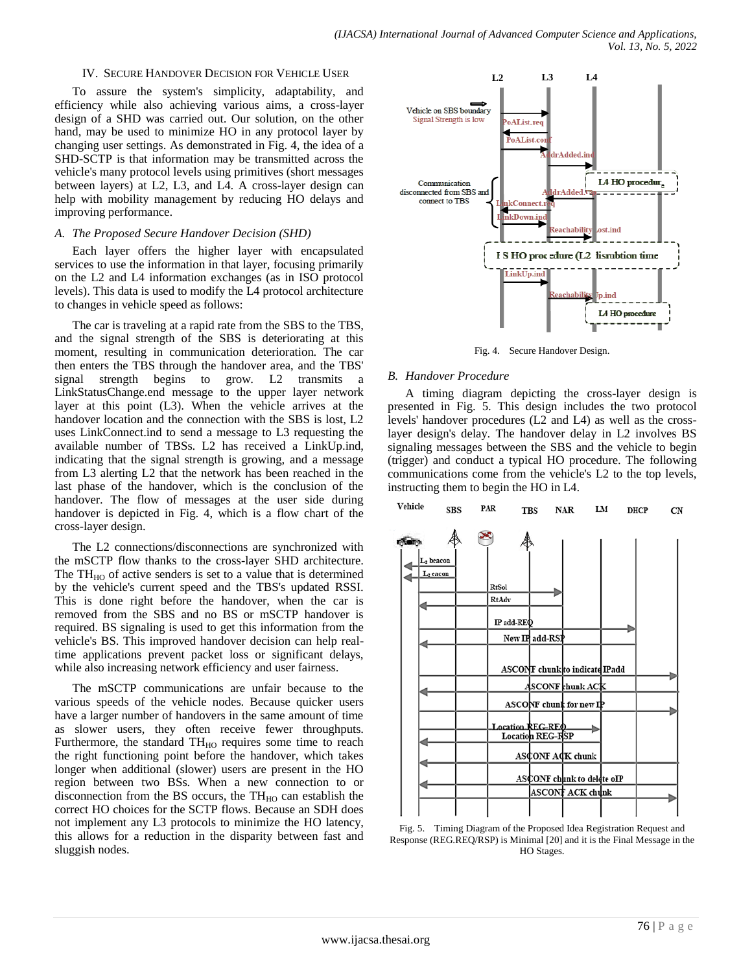#### IV. SECURE HANDOVER DECISION FOR VEHICLE USER

To assure the system's simplicity, adaptability, and efficiency while also achieving various aims, a cross-layer design of a SHD was carried out. Our solution, on the other hand, may be used to minimize HO in any protocol layer by changing user settings. As demonstrated in Fig. 4, the idea of a SHD-SCTP is that information may be transmitted across the vehicle's many protocol levels using primitives (short messages between layers) at L2, L3, and L4. A cross-layer design can help with mobility management by reducing HO delays and improving performance.

#### *A. The Proposed Secure Handover Decision (SHD)*

Each layer offers the higher layer with encapsulated services to use the information in that layer, focusing primarily on the L2 and L4 information exchanges (as in ISO protocol levels). This data is used to modify the L4 protocol architecture to changes in vehicle speed as follows:

The car is traveling at a rapid rate from the SBS to the TBS, and the signal strength of the SBS is deteriorating at this moment, resulting in communication deterioration. The car then enters the TBS through the handover area, and the TBS' signal strength begins to grow. L2 transmits a LinkStatusChange.end message to the upper layer network layer at this point (L3). When the vehicle arrives at the handover location and the connection with the SBS is lost, L2 uses LinkConnect.ind to send a message to L3 requesting the available number of TBSs. L2 has received a LinkUp.ind, indicating that the signal strength is growing, and a message from L3 alerting L2 that the network has been reached in the last phase of the handover, which is the conclusion of the handover. The flow of messages at the user side during handover is depicted in Fig. 4, which is a flow chart of the cross-layer design.

The L2 connections/disconnections are synchronized with the mSCTP flow thanks to the cross-layer SHD architecture. The  $TH_{HO}$  of active senders is set to a value that is determined by the vehicle's current speed and the TBS's updated RSSI. This is done right before the handover, when the car is removed from the SBS and no BS or mSCTP handover is required. BS signaling is used to get this information from the vehicle's BS. This improved handover decision can help realtime applications prevent packet loss or significant delays, while also increasing network efficiency and user fairness.

The mSCTP communications are unfair because to the various speeds of the vehicle nodes. Because quicker users have a larger number of handovers in the same amount of time as slower users, they often receive fewer throughputs. Furthermore, the standard  $TH_{HO}$  requires some time to reach the right functioning point before the handover, which takes longer when additional (slower) users are present in the HO region between two BSs. When a new connection to or disconnection from the BS occurs, the  $TH_{HO}$  can establish the correct HO choices for the SCTP flows. Because an SDH does not implement any L3 protocols to minimize the HO latency, this allows for a reduction in the disparity between fast and sluggish nodes.



Fig. 4. Secure Handover Design.

#### *B. Handover Procedure*

A timing diagram depicting the cross-layer design is presented in Fig. 5. This design includes the two protocol levels' handover procedures (L2 and L4) as well as the crosslayer design's delay. The handover delay in L2 involves BS signaling messages between the SBS and the vehicle to begin (trigger) and conduct a typical HO procedure. The following communications come from the vehicle's L2 to the top levels, instructing them to begin the HO in L4.



Fig. 5. Timing Diagram of the Proposed Idea Registration Request and Response (REG.REQ/RSP) is Minimal [20] and it is the Final Message in the HO Stages.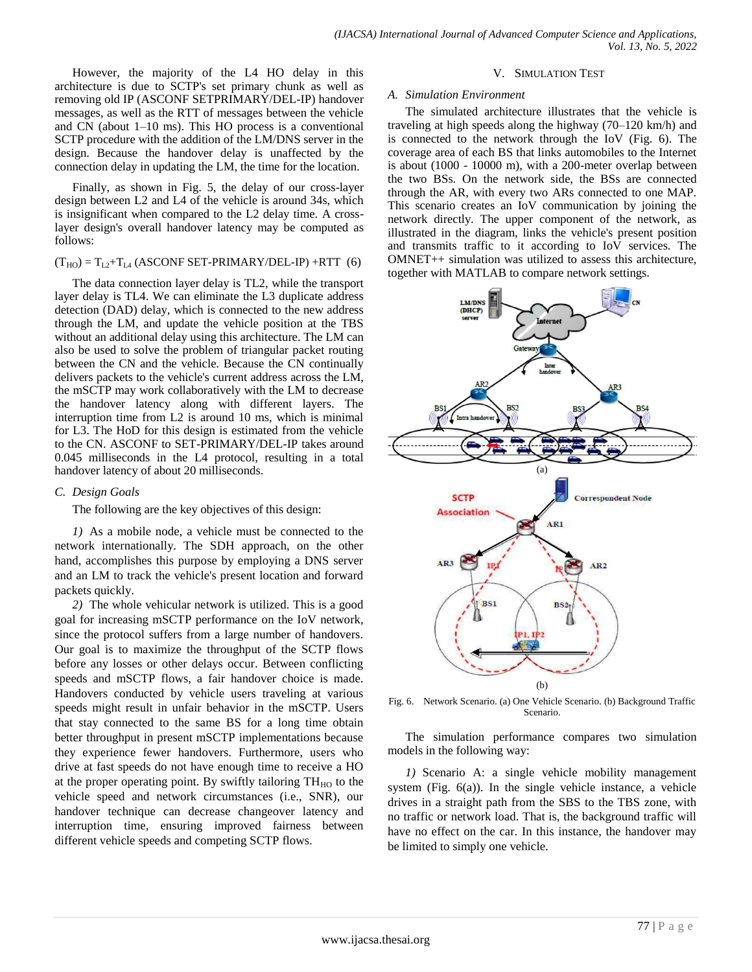However, the majority of the L4 HO delay in this architecture is due to SCTP's set primary chunk as well as removing old IP (ASCONF SETPRIMARY/DEL-IP) handover messages, as well as the RTT of messages between the vehicle and CN (about 1–10 ms). This HO process is a conventional SCTP procedure with the addition of the LM/DNS server in the design. Because the handover delay is unaffected by the connection delay in updating the LM, the time for the location.

Finally, as shown in Fig. 5, the delay of our cross-layer design between L2 and L4 of the vehicle is around 34s, which is insignificant when compared to the L2 delay time. A crosslayer design's overall handover latency may be computed as follows:

#### $(T_{HO}) = T_{L2} + T_{L4}$  (ASCONF SET-PRIMARY/DEL-IP) +RTT (6)

The data connection layer delay is TL2, while the transport layer delay is TL4. We can eliminate the L3 duplicate address detection (DAD) delay, which is connected to the new address through the LM, and update the vehicle position at the TBS without an additional delay using this architecture. The LM can also be used to solve the problem of triangular packet routing between the CN and the vehicle. Because the CN continually delivers packets to the vehicle's current address across the LM, the mSCTP may work collaboratively with the LM to decrease the handover latency along with different layers. The interruption time from L2 is around 10 ms, which is minimal for L3. The HoD for this design is estimated from the vehicle to the CN. ASCONF to SET-PRIMARY/DEL-IP takes around 0.045 milliseconds in the L4 protocol, resulting in a total handover latency of about 20 milliseconds.

### *C. Design Goals*

The following are the key objectives of this design:

*1)* As a mobile node, a vehicle must be connected to the network internationally. The SDH approach, on the other hand, accomplishes this purpose by employing a DNS server and an LM to track the vehicle's present location and forward packets quickly.

*2)* The whole vehicular network is utilized. This is a good goal for increasing mSCTP performance on the IoV network, since the protocol suffers from a large number of handovers. Our goal is to maximize the throughput of the SCTP flows before any losses or other delays occur. Between conflicting speeds and mSCTP flows, a fair handover choice is made. Handovers conducted by vehicle users traveling at various speeds might result in unfair behavior in the mSCTP. Users that stay connected to the same BS for a long time obtain better throughput in present mSCTP implementations because they experience fewer handovers. Furthermore, users who drive at fast speeds do not have enough time to receive a HO at the proper operating point. By swiftly tailoring  $TH_{HO}$  to the vehicle speed and network circumstances (i.e., SNR), our handover technique can decrease changeover latency and interruption time, ensuring improved fairness between different vehicle speeds and competing SCTP flows.

#### V. SIMULATION TEST

#### *A. Simulation Environment*

The simulated architecture illustrates that the vehicle is traveling at high speeds along the highway (70–120 km/h) and is connected to the network through the IoV (Fig. 6). The coverage area of each BS that links automobiles to the Internet is about (1000 - 10000 m), with a 200-meter overlap between the two BSs. On the network side, the BSs are connected through the AR, with every two ARs connected to one MAP. This scenario creates an IoV communication by joining the network directly. The upper component of the network, as illustrated in the diagram, links the vehicle's present position and transmits traffic to it according to IoV services. The OMNET++ simulation was utilized to assess this architecture, together with MATLAB to compare network settings.



Fig. 6. Network Scenario. (a) One Vehicle Scenario. (b) Background Traffic Scenario.

The simulation performance compares two simulation models in the following way:

*1)* Scenario A: a single vehicle mobility management system (Fig. 6(a)). In the single vehicle instance, a vehicle drives in a straight path from the SBS to the TBS zone, with no traffic or network load. That is, the background traffic will have no effect on the car. In this instance, the handover may be limited to simply one vehicle.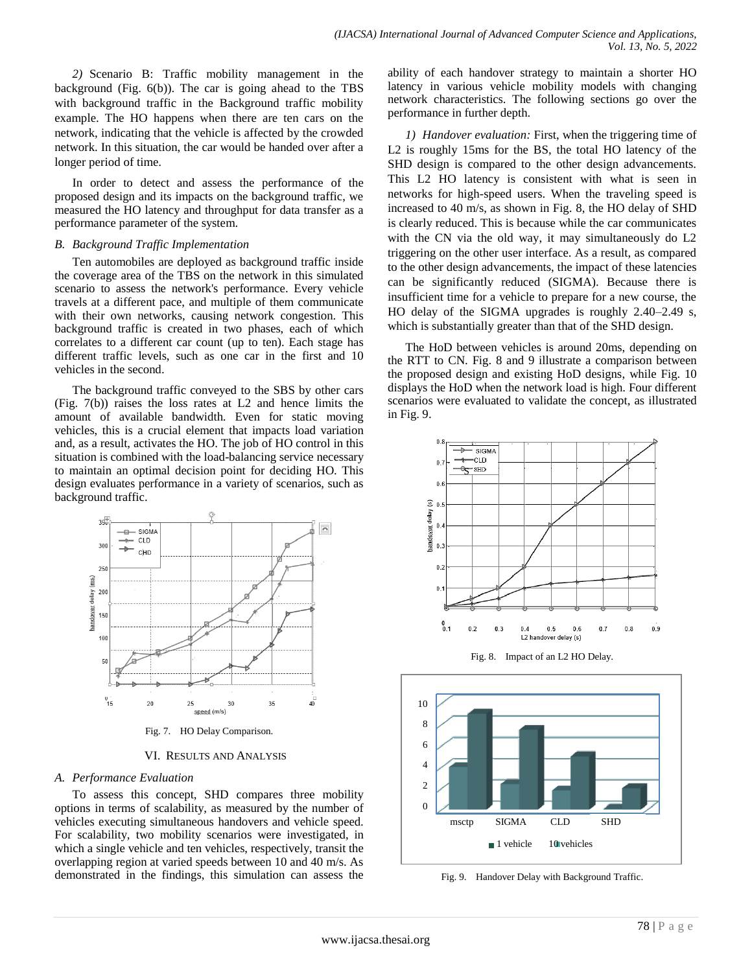*2)* Scenario B: Traffic mobility management in the background (Fig. 6(b)). The car is going ahead to the TBS with background traffic in the Background traffic mobility example. The HO happens when there are ten cars on the network, indicating that the vehicle is affected by the crowded network. In this situation, the car would be handed over after a longer period of time.

In order to detect and assess the performance of the proposed design and its impacts on the background traffic, we measured the HO latency and throughput for data transfer as a performance parameter of the system.

### *B. Background Traffic Implementation*

Ten automobiles are deployed as background traffic inside the coverage area of the TBS on the network in this simulated scenario to assess the network's performance. Every vehicle travels at a different pace, and multiple of them communicate with their own networks, causing network congestion. This background traffic is created in two phases, each of which correlates to a different car count (up to ten). Each stage has different traffic levels, such as one car in the first and 10 vehicles in the second.

The background traffic conveyed to the SBS by other cars (Fig. 7(b)) raises the loss rates at L2 and hence limits the amount of available bandwidth. Even for static moving vehicles, this is a crucial element that impacts load variation and, as a result, activates the HO. The job of HO control in this situation is combined with the load-balancing service necessary to maintain an optimal decision point for deciding HO. This design evaluates performance in a variety of scenarios, such as background traffic.



Fig. 7. HO Delay Comparison.

VI. RESULTS AND ANALYSIS

### *A. Performance Evaluation*

To assess this concept, SHD compares three mobility options in terms of scalability, as measured by the number of vehicles executing simultaneous handovers and vehicle speed. For scalability, two mobility scenarios were investigated, in which a single vehicle and ten vehicles, respectively, transit the overlapping region at varied speeds between 10 and 40 m/s. As demonstrated in the findings, this simulation can assess the ability of each handover strategy to maintain a shorter HO latency in various vehicle mobility models with changing network characteristics. The following sections go over the performance in further depth.

*1) Handover evaluation:* First, when the triggering time of L2 is roughly 15ms for the BS, the total HO latency of the SHD design is compared to the other design advancements. This L2 HO latency is consistent with what is seen in networks for high-speed users. When the traveling speed is increased to 40 m/s, as shown in Fig. 8, the HO delay of SHD is clearly reduced. This is because while the car communicates with the CN via the old way, it may simultaneously do L2 triggering on the other user interface. As a result, as compared to the other design advancements, the impact of these latencies can be significantly reduced (SIGMA). Because there is insufficient time for a vehicle to prepare for a new course, the HO delay of the SIGMA upgrades is roughly 2.40–2.49 s, which is substantially greater than that of the SHD design.

The HoD between vehicles is around 20ms, depending on the RTT to CN. Fig. 8 and 9 illustrate a comparison between the proposed design and existing HoD designs, while Fig. 10 displays the HoD when the network load is high. Four different scenarios were evaluated to validate the concept, as illustrated in Fig. 9.





Fig. 9. Handover Delay with Background Traffic.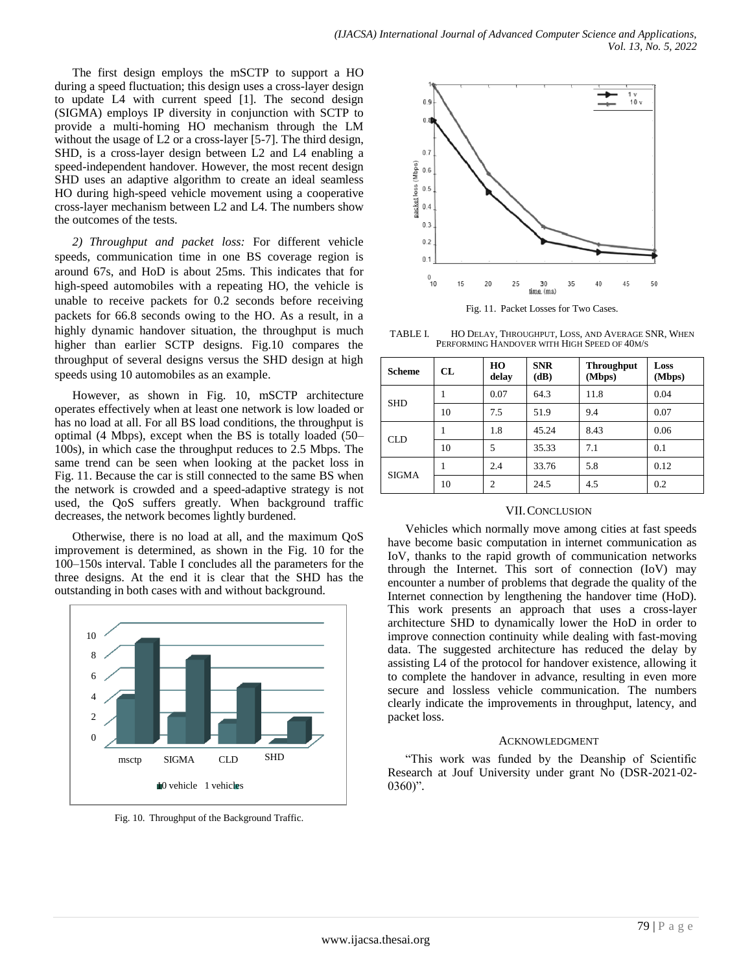The first design employs the mSCTP to support a HO during a speed fluctuation; this design uses a cross-layer design to update L4 with current speed [1]. The second design (SIGMA) employs IP diversity in conjunction with SCTP to provide a multi-homing HO mechanism through the LM without the usage of L2 or a cross-layer [5-7]. The third design, SHD, is a cross-layer design between L2 and L4 enabling a speed-independent handover. However, the most recent design SHD uses an adaptive algorithm to create an ideal seamless HO during high-speed vehicle movement using a cooperative cross-layer mechanism between L2 and L4. The numbers show the outcomes of the tests.

*2) Throughput and packet loss:* For different vehicle speeds, communication time in one BS coverage region is around 67s, and HoD is about 25ms. This indicates that for high-speed automobiles with a repeating HO, the vehicle is unable to receive packets for 0.2 seconds before receiving packets for 66.8 seconds owing to the HO. As a result, in a highly dynamic handover situation, the throughput is much higher than earlier SCTP designs. Fig.10 compares the throughput of several designs versus the SHD design at high speeds using 10 automobiles as an example.

However, as shown in Fig. 10, mSCTP architecture operates effectively when at least one network is low loaded or has no load at all. For all BS load conditions, the throughput is optimal (4 Mbps), except when the BS is totally loaded (50– 100s), in which case the throughput reduces to 2.5 Mbps. The same trend can be seen when looking at the packet loss in Fig. 11. Because the car is still connected to the same BS when the network is crowded and a speed-adaptive strategy is not used, the QoS suffers greatly. When background traffic decreases, the network becomes lightly burdened.

Otherwise, there is no load at all, and the maximum QoS improvement is determined, as shown in the Fig. 10 for the 100–150s interval. Table I concludes all the parameters for the three designs. At the end it is clear that the SHD has the outstanding in both cases with and without background.



Fig. 10. Throughput of the Background Traffic.



Fig. 11. Packet Losses for Two Cases.

TABLE I. HO DELAY, THROUGHPUT, LOSS, AND AVERAGE SNR, WHEN PERFORMING HANDOVER WITH HIGH SPEED OF 40M/S

| <b>Scheme</b> | CL | HO<br>delay    | <b>SNR</b><br>(dB) | <b>Throughput</b><br>(Mbps) | Loss<br>(Mbps) |
|---------------|----|----------------|--------------------|-----------------------------|----------------|
| <b>SHD</b>    |    | 0.07           | 64.3               | 11.8                        | 0.04           |
|               | 10 | 7.5            | 51.9               | 9.4                         | 0.07           |
| CLD.          |    | 1.8            | 45.24              | 8.43                        | 0.06           |
|               | 10 | 5              | 35.33              | 7.1                         | 0.1            |
| <b>SIGMA</b>  |    | 2.4            | 33.76              | 5.8                         | 0.12           |
|               | 10 | $\overline{c}$ | 24.5               | 4.5                         | 0.2            |

#### VII.CONCLUSION

Vehicles which normally move among cities at fast speeds have become basic computation in internet communication as IoV, thanks to the rapid growth of communication networks through the Internet. This sort of connection (IoV) may encounter a number of problems that degrade the quality of the Internet connection by lengthening the handover time (HoD). This work presents an approach that uses a cross-layer architecture SHD to dynamically lower the HoD in order to improve connection continuity while dealing with fast-moving data. The suggested architecture has reduced the delay by assisting L4 of the protocol for handover existence, allowing it to complete the handover in advance, resulting in even more secure and lossless vehicle communication. The numbers clearly indicate the improvements in throughput, latency, and packet loss.

#### ACKNOWLEDGMENT

―This work was funded by the Deanship of Scientific Research at Jouf University under grant No (DSR-2021-02-  $0360$ ".